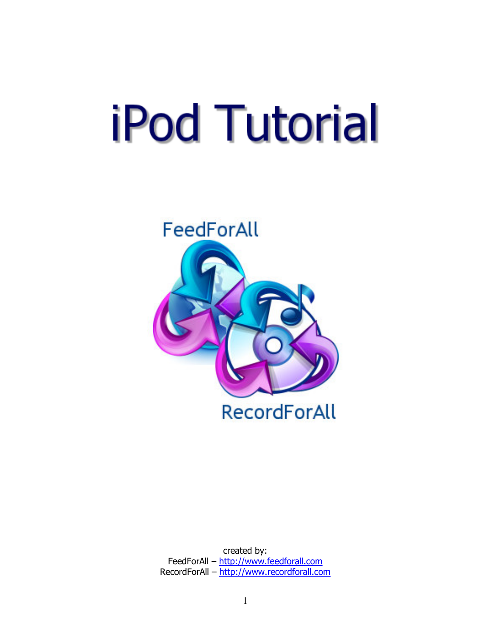# **iPod Tutorial**



created by: FeedForAll – http://www.feedforall.com RecordForAll – http://www.recordforall.com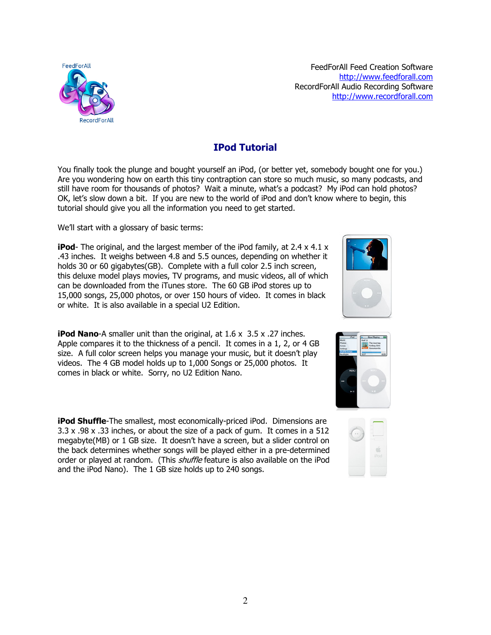

FeedForAll Feed Creation Software http://www.feedforall.com RecordForAll Audio Recording Software http://www.recordforall.com

# IPod Tutorial

You finally took the plunge and bought yourself an iPod, (or better yet, somebody bought one for you.) Are you wondering how on earth this tiny contraption can store so much music, so many podcasts, and still have room for thousands of photos? Wait a minute, what's a podcast? My iPod can hold photos? OK, let's slow down a bit. If you are new to the world of iPod and don't know where to begin, this tutorial should give you all the information you need to get started.

We'll start with a glossary of basic terms:

**iPod-** The original, and the largest member of the iPod family, at 2.4  $\times$  4.1  $\times$ .43 inches. It weighs between 4.8 and 5.5 ounces, depending on whether it holds 30 or 60 gigabytes(GB). Complete with a full color 2.5 inch screen, this deluxe model plays movies, TV programs, and music videos, all of which can be downloaded from the iTunes store. The 60 GB iPod stores up to 15,000 songs, 25,000 photos, or over 150 hours of video. It comes in black or white. It is also available in a special U2 Edition.

**iPod Nano-A** smaller unit than the original, at  $1.6 \times 3.5 \times .27$  inches. Apple compares it to the thickness of a pencil. It comes in a 1, 2, or 4 GB size. A full color screen helps you manage your music, but it doesn't play videos. The 4 GB model holds up to 1,000 Songs or 25,000 photos. It comes in black or white. Sorry, no U2 Edition Nano.

**iPod Shuffle-**The smallest, most economically-priced iPod. Dimensions are 3.3 x .98 x .33 inches, or about the size of a pack of gum. It comes in a 512 megabyte(MB) or 1 GB size. It doesn't have a screen, but a slider control on the back determines whether songs will be played either in a pre-determined order or played at random. (This *shuffle* feature is also available on the iPod and the iPod Nano). The 1 GB size holds up to 240 songs.





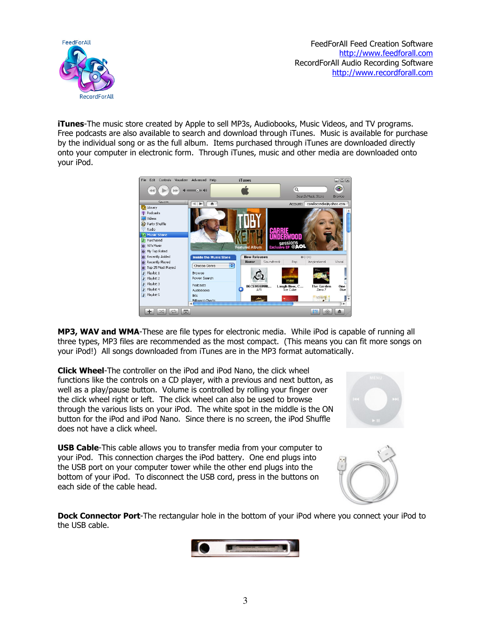

FeedForAll Feed Creation Software http://www.feedforall.com RecordForAll Audio Recording Software http://www.recordforall.com

**iTunes-**The music store created by Apple to sell MP3s, Audiobooks, Music Videos, and TV programs. Free podcasts are also available to search and download through iTunes. Music is available for purchase by the individual song or as the full album. Items purchased through iTunes are downloaded directly onto your computer in electronic form. Through iTunes, music and other media are downloaded onto your iPod.



MP3, WAV and WMA-These are file types for electronic media. While iPod is capable of running all three types, MP3 files are recommended as the most compact. (This means you can fit more songs on your iPod!) All songs downloaded from iTunes are in the MP3 format automatically.

Click Wheel-The controller on the iPod and iPod Nano, the click wheel functions like the controls on a CD player, with a previous and next button, as well as a play/pause button. Volume is controlled by rolling your finger over the click wheel right or left. The click wheel can also be used to browse through the various lists on your iPod. The white spot in the middle is the ON button for the iPod and iPod Nano. Since there is no screen, the iPod Shuffle does not have a click wheel.

USB Cable-This cable allows you to transfer media from your computer to your iPod. This connection charges the iPod battery. One end plugs into the USB port on your computer tower while the other end plugs into the bottom of your iPod. To disconnect the USB cord, press in the buttons on each side of the cable head.



**Dock Connector Port-**The rectangular hole in the bottom of your iPod where you connect your iPod to the USB cable.

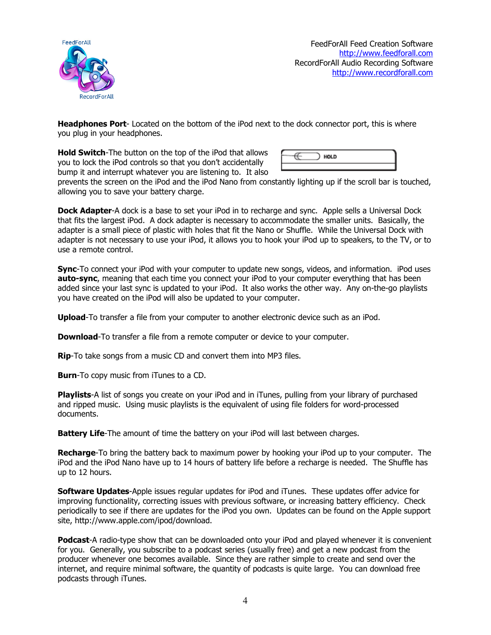

Headphones Port-Located on the bottom of the iPod next to the dock connector port, this is where you plug in your headphones.

Hold Switch-The button on the top of the iPod that allows you to lock the iPod controls so that you don't accidentally bump it and interrupt whatever you are listening to. It also

prevents the screen on the iPod and the iPod Nano from constantly lighting up if the scroll bar is touched, allowing you to save your battery charge.

**Dock Adapter-A** dock is a base to set your iPod in to recharge and sync. Apple sells a Universal Dock that fits the largest iPod. A dock adapter is necessary to accommodate the smaller units. Basically, the adapter is a small piece of plastic with holes that fit the Nano or Shuffle. While the Universal Dock with adapter is not necessary to use your iPod, it allows you to hook your iPod up to speakers, to the TV, or to use a remote control.

Sync-To connect your iPod with your computer to update new songs, videos, and information. iPod uses auto-sync, meaning that each time you connect your iPod to your computer everything that has been added since your last sync is updated to your iPod. It also works the other way. Any on-the-go playlists you have created on the iPod will also be updated to your computer.

Upload-To transfer a file from your computer to another electronic device such as an iPod.

**Download-To transfer a file from a remote computer or device to your computer.** 

**Rip-To take songs from a music CD and convert them into MP3 files.** 

Burn-To copy music from iTunes to a CD.

Playlists-A list of songs you create on your iPod and in iTunes, pulling from your library of purchased and ripped music. Using music playlists is the equivalent of using file folders for word-processed documents.

**Battery Life-**The amount of time the battery on your iPod will last between charges.

**Recharge**-To bring the battery back to maximum power by hooking your iPod up to your computer. The iPod and the iPod Nano have up to 14 hours of battery life before a recharge is needed. The Shuffle has up to 12 hours.

**Software Updates-**Apple issues regular updates for iPod and iTunes. These updates offer advice for improving functionality, correcting issues with previous software, or increasing battery efficiency. Check periodically to see if there are updates for the iPod you own. Updates can be found on the Apple support site, http://www.apple.com/ipod/download.

**Podcast-**A radio-type show that can be downloaded onto your iPod and played whenever it is convenient for you. Generally, you subscribe to a podcast series (usually free) and get a new podcast from the producer whenever one becomes available. Since they are rather simple to create and send over the internet, and require minimal software, the quantity of podcasts is quite large. You can download free podcasts through iTunes.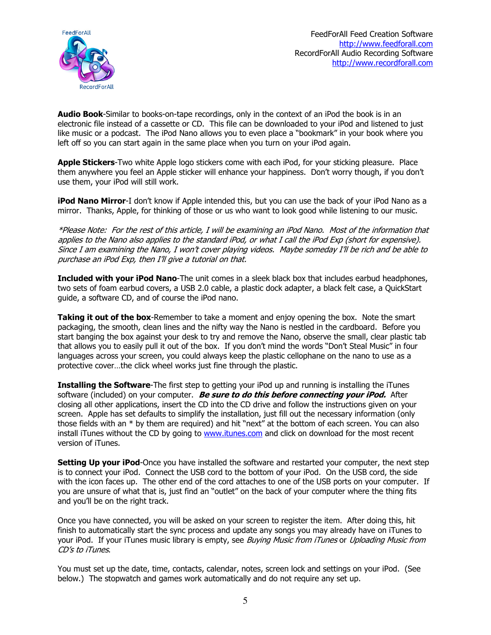

Audio Book-Similar to books-on-tape recordings, only in the context of an iPod the book is in an electronic file instead of a cassette or CD. This file can be downloaded to your iPod and listened to just like music or a podcast. The iPod Nano allows you to even place a "bookmark" in your book where you left off so you can start again in the same place when you turn on your iPod again.

**Apple Stickers-**Two white Apple logo stickers come with each iPod, for your sticking pleasure. Place them anywhere you feel an Apple sticker will enhance your happiness. Don't worry though, if you don't use them, your iPod will still work.

**iPod Nano Mirror-**I don't know if Apple intended this, but you can use the back of your iPod Nano as a mirror. Thanks, Apple, for thinking of those or us who want to look good while listening to our music.

\*Please Note: For the rest of this article, I will be examining an iPod Nano. Most of the information that applies to the Nano also applies to the standard iPod, or what I call the iPod Exp (short for expensive). Since I am examining the Nano, I won't cover playing videos. Maybe someday I'll be rich and be able to purchase an iPod Exp, then I'll give a tutorial on that.

Included with your iPod Nano-The unit comes in a sleek black box that includes earbud headphones, two sets of foam earbud covers, a USB 2.0 cable, a plastic dock adapter, a black felt case, a QuickStart guide, a software CD, and of course the iPod nano.

Taking it out of the box-Remember to take a moment and enjoy opening the box. Note the smart packaging, the smooth, clean lines and the nifty way the Nano is nestled in the cardboard. Before you start banging the box against your desk to try and remove the Nano, observe the small, clear plastic tab that allows you to easily pull it out of the box. If you don't mind the words "Don't Steal Music" in four languages across your screen, you could always keep the plastic cellophane on the nano to use as a protective cover…the click wheel works just fine through the plastic.

**Installing the Software-**The first step to getting your iPod up and running is installing the iTunes software (included) on your computer. Be sure to do this before connecting your iPod. After closing all other applications, insert the CD into the CD drive and follow the instructions given on your screen. Apple has set defaults to simplify the installation, just fill out the necessary information (only those fields with an \* by them are required) and hit "next" at the bottom of each screen. You can also install iTunes without the CD by going to www.itunes.com and click on download for the most recent version of iTunes.

Setting Up your iPod-Once you have installed the software and restarted your computer, the next step is to connect your iPod. Connect the USB cord to the bottom of your iPod. On the USB cord, the side with the icon faces up. The other end of the cord attaches to one of the USB ports on your computer. If you are unsure of what that is, just find an "outlet" on the back of your computer where the thing fits and you'll be on the right track.

Once you have connected, you will be asked on your screen to register the item. After doing this, hit finish to automatically start the sync process and update any songs you may already have on iTunes to your iPod. If your iTunes music library is empty, see Buying Music from iTunes or Uploading Music from CD's to iTunes.

You must set up the date, time, contacts, calendar, notes, screen lock and settings on your iPod. (See below.) The stopwatch and games work automatically and do not require any set up.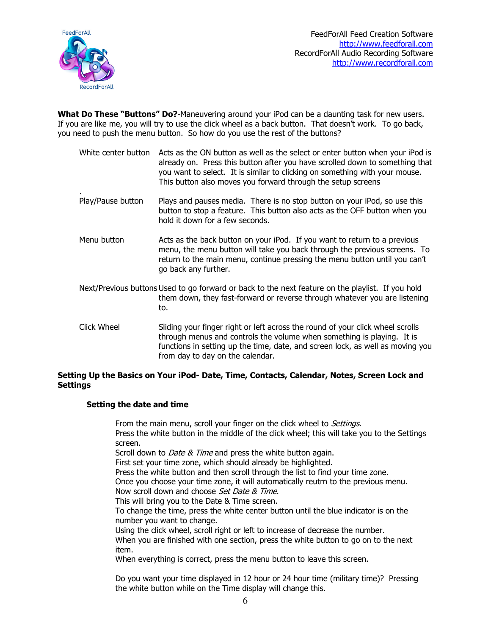

What Do These "Buttons" Do?-Maneuvering around your iPod can be a daunting task for new users. If you are like me, you will try to use the click wheel as a back button. That doesn't work. To go back, you need to push the menu button. So how do you use the rest of the buttons?

- White center button Acts as the ON button as well as the select or enter button when your iPod is already on. Press this button after you have scrolled down to something that you want to select. It is similar to clicking on something with your mouse. This button also moves you forward through the setup screens
- . Play/Pause button Plays and pauses media. There is no stop button on your iPod, so use this button to stop a feature. This button also acts as the OFF button when you hold it down for a few seconds.
- Menu button Acts as the back button on your iPod. If you want to return to a previous menu, the menu button will take you back through the previous screens. To return to the main menu, continue pressing the menu button until you can't go back any further.
- Next/Previous buttons Used to go forward or back to the next feature on the playlist. If you hold them down, they fast-forward or reverse through whatever you are listening to.
- Click Wheel Sliding your finger right or left across the round of your click wheel scrolls through menus and controls the volume when something is playing. It is functions in setting up the time, date, and screen lock, as well as moving you from day to day on the calendar.

### Setting Up the Basics on Your iPod- Date, Time, Contacts, Calendar, Notes, Screen Lock and Settings

# Setting the date and time

From the main menu, scroll your finger on the click wheel to Settings. Press the white button in the middle of the click wheel; this will take you to the Settings screen. Scroll down to *Date & Time* and press the white button again. First set your time zone, which should already be highlighted. Press the white button and then scroll through the list to find your time zone. Once you choose your time zone, it will automatically reutrn to the previous menu. Now scroll down and choose Set Date & Time. This will bring you to the Date & Time screen. To change the time, press the white center button until the blue indicator is on the number you want to change. Using the click wheel, scroll right or left to increase of decrease the number. When you are finished with one section, press the white button to go on to the next item. When everything is correct, press the menu button to leave this screen.

Do you want your time displayed in 12 hour or 24 hour time (military time)? Pressing the white button while on the Time display will change this.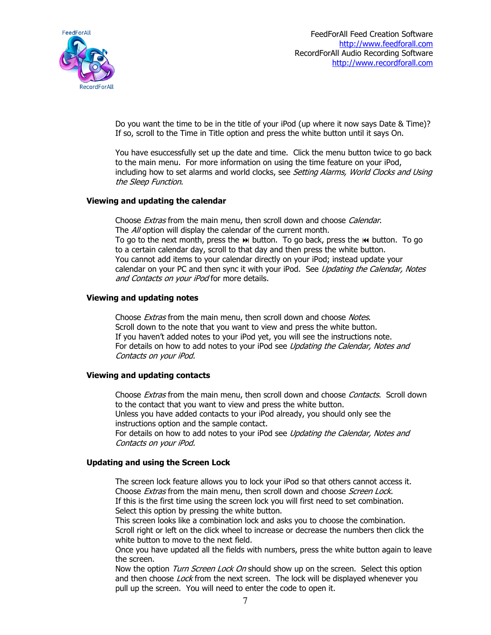

Do you want the time to be in the title of your iPod (up where it now says Date & Time)? If so, scroll to the Time in Title option and press the white button until it says On.

You have esuccessfully set up the date and time. Click the menu button twice to go back to the main menu. For more information on using the time feature on your iPod, including how to set alarms and world clocks, see Setting Alarms, World Clocks and Using the Sleep Function.

### Viewing and updating the calendar

Choose Extras from the main menu, then scroll down and choose Calendar. The All option will display the calendar of the current month. To go to the next month, press the » button. To go back, press the  $\blacksquare$  button. To go to a certain calendar day, scroll to that day and then press the white button. You cannot add items to your calendar directly on your iPod; instead update your calendar on your PC and then sync it with your iPod. See Updating the Calendar, Notes and Contacts on your iPod for more details.

### Viewing and updating notes

Choose *Extras* from the main menu, then scroll down and choose Notes. Scroll down to the note that you want to view and press the white button. If you haven't added notes to your iPod yet, you will see the instructions note. For details on how to add notes to your iPod see Updating the Calendar, Notes and Contacts on your iPod.

### Viewing and updating contacts

Choose *Extras* from the main menu, then scroll down and choose *Contacts*. Scroll down to the contact that you want to view and press the white button.

Unless you have added contacts to your iPod already, you should only see the instructions option and the sample contact.

For details on how to add notes to your iPod see Updating the Calendar, Notes and Contacts on your iPod.

### Updating and using the Screen Lock

The screen lock feature allows you to lock your iPod so that others cannot access it. Choose Extras from the main menu, then scroll down and choose Screen Lock. If this is the first time using the screen lock you will first need to set combination. Select this option by pressing the white button.

This screen looks like a combination lock and asks you to choose the combination. Scroll right or left on the click wheel to increase or decrease the numbers then click the white button to move to the next field.

Once you have updated all the fields with numbers, press the white button again to leave the screen.

Now the option Turn Screen Lock On should show up on the screen. Select this option and then choose Lock from the next screen. The lock will be displayed whenever you pull up the screen. You will need to enter the code to open it.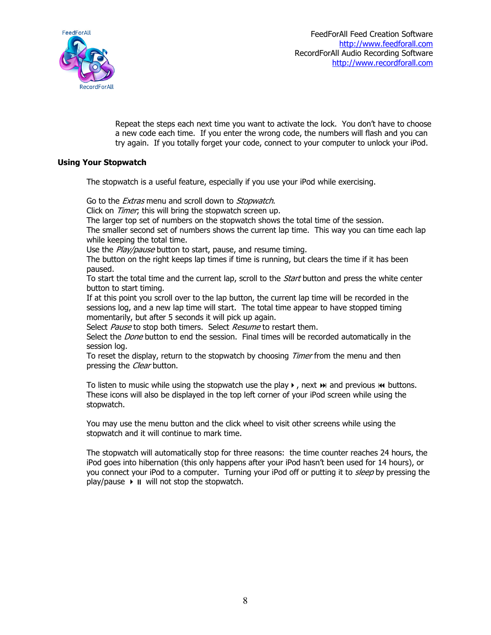

Repeat the steps each next time you want to activate the lock. You don't have to choose a new code each time. If you enter the wrong code, the numbers will flash and you can try again. If you totally forget your code, connect to your computer to unlock your iPod.

### Using Your Stopwatch

The stopwatch is a useful feature, especially if you use your iPod while exercising.

Go to the *Extras* menu and scroll down to *Stopwatch*.

Click on *Timer*; this will bring the stopwatch screen up.

The larger top set of numbers on the stopwatch shows the total time of the session.

The smaller second set of numbers shows the current lap time. This way you can time each lap while keeping the total time.

Use the Play/pause button to start, pause, and resume timing.

The button on the right keeps lap times if time is running, but clears the time if it has been paused.

To start the total time and the current lap, scroll to the *Start* button and press the white center button to start timing.

If at this point you scroll over to the lap button, the current lap time will be recorded in the sessions log, and a new lap time will start. The total time appear to have stopped timing momentarily, but after 5 seconds it will pick up again.

Select Pause to stop both timers. Select Resume to restart them.

Select the *Done* button to end the session. Final times will be recorded automatically in the session log.

To reset the display, return to the stopwatch by choosing *Timer* from the menu and then pressing the *Clear* button.

To listen to music while using the stopwatch use the play  $\blacktriangleright$ , next  $\blacktriangleright$  and previous  $\blacklozenge$  buttons. These icons will also be displayed in the top left corner of your iPod screen while using the stopwatch.

You may use the menu button and the click wheel to visit other screens while using the stopwatch and it will continue to mark time.

The stopwatch will automatically stop for three reasons: the time counter reaches 24 hours, the iPod goes into hibernation (this only happens after your iPod hasn't been used for 14 hours), or you connect your iPod to a computer. Turning your iPod off or putting it to *sleep* by pressing the  $play/{pause}$   $\rightarrow$   $\parallel$  will not stop the stopwatch.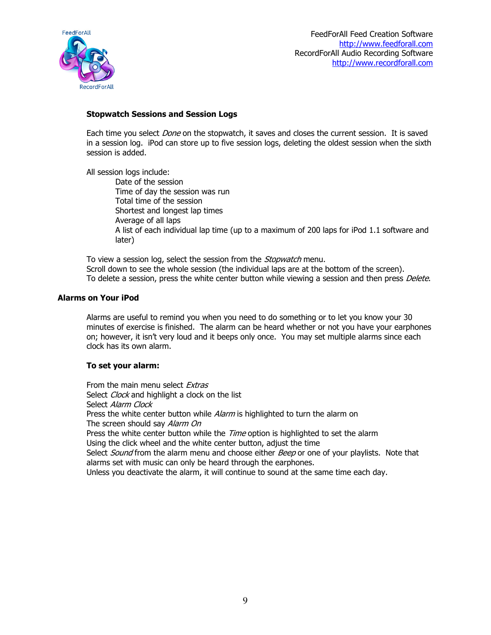

### Stopwatch Sessions and Session Logs

Each time you select *Done* on the stopwatch, it saves and closes the current session. It is saved in a session log. iPod can store up to five session logs, deleting the oldest session when the sixth session is added.

All session logs include:

 Date of the session Time of day the session was run Total time of the session Shortest and longest lap times Average of all laps A list of each individual lap time (up to a maximum of 200 laps for iPod 1.1 software and later)

To view a session log, select the session from the *Stopwatch* menu. Scroll down to see the whole session (the individual laps are at the bottom of the screen). To delete a session, press the white center button while viewing a session and then press Delete.

### Alarms on Your iPod

Alarms are useful to remind you when you need to do something or to let you know your 30 minutes of exercise is finished. The alarm can be heard whether or not you have your earphones on; however, it isn't very loud and it beeps only once. You may set multiple alarms since each clock has its own alarm.

### To set your alarm:

From the main menu select Extras Select Clock and highlight a clock on the list Select Alarm Clock Press the white center button while Alarm is highlighted to turn the alarm on The screen should say Alarm On Press the white center button while the *Time* option is highlighted to set the alarm Using the click wheel and the white center button, adjust the time Select *Sound* from the alarm menu and choose either *Beep* or one of your playlists. Note that alarms set with music can only be heard through the earphones. Unless you deactivate the alarm, it will continue to sound at the same time each day.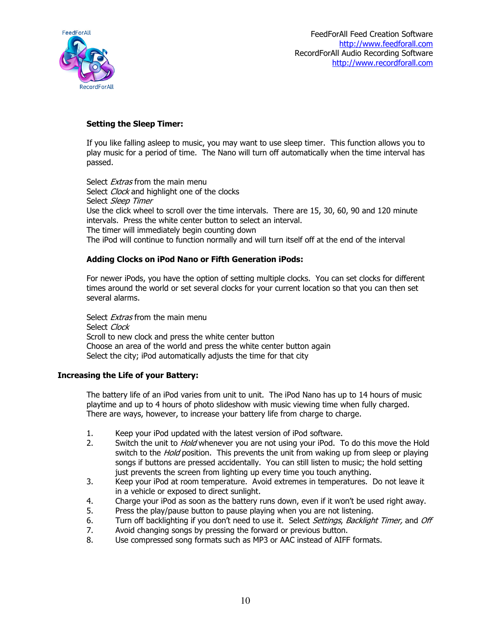

# Setting the Sleep Timer:

If you like falling asleep to music, you may want to use sleep timer. This function allows you to play music for a period of time. The Nano will turn off automatically when the time interval has passed.

Select *Extras* from the main menu Select Clock and highlight one of the clocks Select Sleep Timer Use the click wheel to scroll over the time intervals. There are 15, 30, 60, 90 and 120 minute intervals. Press the white center button to select an interval. The timer will immediately begin counting down The iPod will continue to function normally and will turn itself off at the end of the interval

### Adding Clocks on iPod Nano or Fifth Generation iPods:

For newer iPods, you have the option of setting multiple clocks. You can set clocks for different times around the world or set several clocks for your current location so that you can then set several alarms.

Select *Extras* from the main menu Select Clock Scroll to new clock and press the white center button Choose an area of the world and press the white center button again Select the city; iPod automatically adjusts the time for that city

# Increasing the Life of your Battery:

The battery life of an iPod varies from unit to unit. The iPod Nano has up to 14 hours of music playtime and up to 4 hours of photo slideshow with music viewing time when fully charged. There are ways, however, to increase your battery life from charge to charge.

- 1. Keep your iPod updated with the latest version of iPod software.
- 2. Switch the unit to *Hold* whenever you are not using your iPod. To do this move the Hold switch to the *Hold* position. This prevents the unit from waking up from sleep or playing songs if buttons are pressed accidentally. You can still listen to music; the hold setting just prevents the screen from lighting up every time you touch anything.
- 3. Keep your iPod at room temperature. Avoid extremes in temperatures. Do not leave it in a vehicle or exposed to direct sunlight.
- 4. Charge your iPod as soon as the battery runs down, even if it won't be used right away.
- 5. Press the play/pause button to pause playing when you are not listening.
- 6. Turn off backlighting if you don't need to use it. Select *Settings, Backlight Timer,* and *Off*<br>7. Avoid changing songs by pressing the forward or previous button.
- Avoid changing songs by pressing the forward or previous button.
- 8. Use compressed song formats such as MP3 or AAC instead of AIFF formats.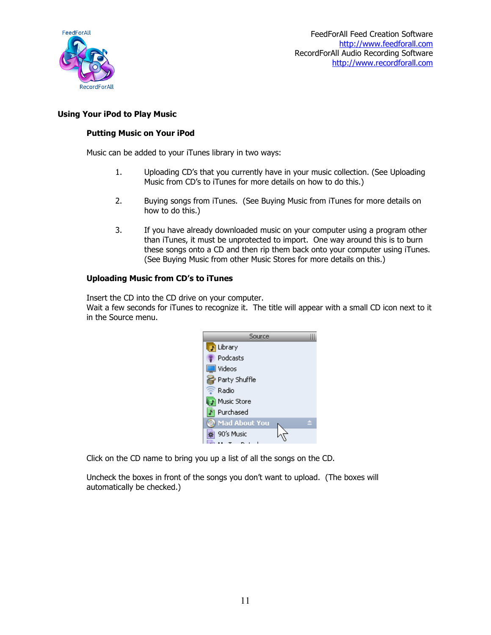

## Using Your iPod to Play Music

### Putting Music on Your iPod

Music can be added to your iTunes library in two ways:

- 1. Uploading CD's that you currently have in your music collection. (See Uploading Music from CD's to iTunes for more details on how to do this.)
- 2. Buying songs from iTunes. (See Buying Music from iTunes for more details on how to do this.)
- 3. If you have already downloaded music on your computer using a program other than iTunes, it must be unprotected to import. One way around this is to burn these songs onto a CD and then rip them back onto your computer using iTunes. (See Buying Music from other Music Stores for more details on this.)

### Uploading Music from CD's to iTunes

Insert the CD into the CD drive on your computer.

Wait a few seconds for iTunes to recognize it. The title will appear with a small CD icon next to it in the Source menu.



Click on the CD name to bring you up a list of all the songs on the CD.

Uncheck the boxes in front of the songs you don't want to upload. (The boxes will automatically be checked.)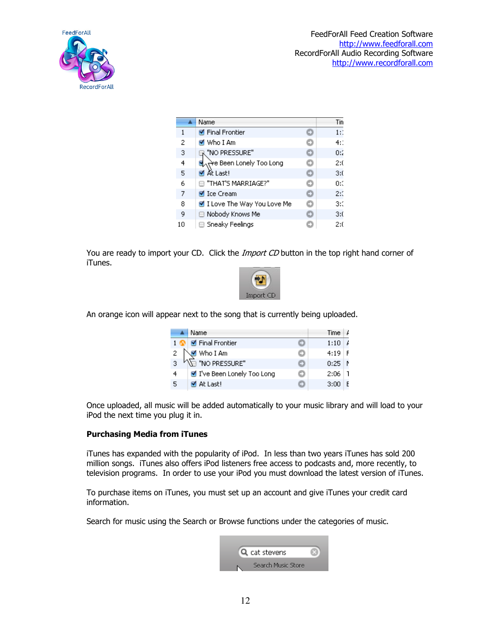

|    | Name                                     |   | Tin   |
|----|------------------------------------------|---|-------|
| 1  | ■ Final Frontier                         |   | $1$ : |
| 2  | M Who I Am                               |   | $4$ : |
| 3  | "NO PRESSURE"                            | o | 0:2   |
| 4  | स्र <sub>ा</sub> से Been Lonely Too Long | n | 2:0   |
| 5  | M At Last!                               | o | 3:0   |
| 6  | THAT'S MARRIAGE?"                        | o | 0:0   |
| 7  | ■ Ice Cream                              | o | 2:3   |
| 8  | ■ I Love The Way You Love Me             | m | 3:0   |
| 9  | Nobody Knows Me<br>н                     | o | 3:0   |
| 10 | ⊟ Sneaky Feelings                        |   | 2:0   |

You are ready to import your CD. Click the *Import CD* button in the top right hand corner of iTunes.



An orange icon will appear next to the song that is currently being uploaded.

|   | Name                        | Time $\frac{1}{2}$  |   |
|---|-----------------------------|---------------------|---|
|   | 1 <b>C</b> Final Frontier   | 1:10                | L |
|   | Not who I Am                | $4:19$ F            |   |
|   | "NO PRESSURE"               | $0:25$   $\uparrow$ |   |
| 4 | ■ I've Been Lonely Too Long | 2:06                |   |
| 5 | M At Last!                  | 3:00                | E |

Once uploaded, all music will be added automatically to your music library and will load to your iPod the next time you plug it in.

# Purchasing Media from iTunes

iTunes has expanded with the popularity of iPod. In less than two years iTunes has sold 200 million songs. iTunes also offers iPod listeners free access to podcasts and, more recently, to television programs. In order to use your iPod you must download the latest version of iTunes.

To purchase items on iTunes, you must set up an account and give iTunes your credit card information.

Search for music using the Search or Browse functions under the categories of music.

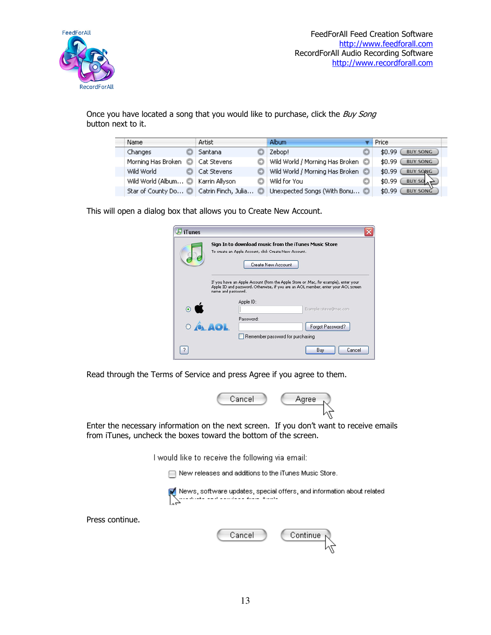

Press continue.

Once you have located a song that you would like to purchase, click the Buy Song button next to it.

| Name                                        | Artist      | Album                           | Price                          |
|---------------------------------------------|-------------|---------------------------------|--------------------------------|
| <b>Changes</b>                              | Santana     | Zebop!                          | \$0.99<br><b>BUY SONG</b>      |
| Morning Has Broken C                        | Cat Stevens | Wild World / Morning Has Broken | <b>BUY SONG</b><br>\$0.99      |
| Wild World                                  | Cat Stevens | Wild World / Morning Has Broken | \$0.99<br><b>BUY SONG</b>      |
| Wild World (Album iii) Karrin Allyson       |             | Wild for You                    | \$0.99<br>BUY SO $\rightarrow$ |
| Star of County Do is Catrin Finch, Julia is |             | Unexpected Songs (With Bonu     | \$0.99<br><b>BUY SONG</b>      |

This will open a dialog box that allows you to Create New Account.

| FiTunes                                           |                                                                                                                                                                                                                                        |
|---------------------------------------------------|----------------------------------------------------------------------------------------------------------------------------------------------------------------------------------------------------------------------------------------|
|                                                   | Sign In to download music from the iTunes Music Store<br>To create an Apple Account, click Create New Account.<br>Create New Account                                                                                                   |
| $\bullet$ $\bullet$                               | If you have an Apple Account (from the Apple Store or .Mac, for example), enter your<br>Apple ID and password. Otherwise, if you are an AOL member, enter your AOL screen<br>name and password.<br>Apple ID:<br>Example: steve@mac.com |
| $\overline{\mathbf{A}}$ $\mathbf{A}$ $\mathbf{A}$ | Password:<br>Forgot Password?<br>Remember password for purchasing                                                                                                                                                                      |
|                                                   | Cancel<br>Buv                                                                                                                                                                                                                          |

Read through the Terms of Service and press Agree if you agree to them.



Enter the necessary information on the next screen. If you don't want to receive emails from iTunes, uncheck the boxes toward the bottom of the screen.

I would like to receive the following via email:

New releases and additions to the iTunes Music Store.



| Cancel | Continue $\sim$ |
|--------|-----------------|
|        |                 |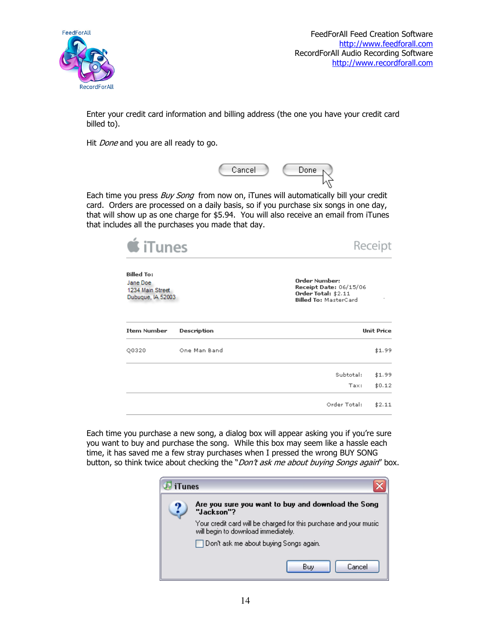

FeedForAll Feed Creation Software http://www.feedforall.com RecordForAll Audio Recording Software http://www.recordforall.com

 $$0.12$ 

 $$2.11$ 

Tax:

Order Total:

Enter your credit card information and billing address (the one you have your credit card billed to).

Hit *Done* and you are all ready to go.



Each time you press Buy Song from now on, iTunes will automatically bill your credit card. Orders are processed on a daily basis, so if you purchase six songs in one day, that will show up as one charge for \$5.94. You will also receive an email from iTunes that includes all the purchases you made that day.



Each time you purchase a new song, a dialog box will appear asking you if you're sure you want to buy and purchase the song. While this box may seem like a hassle each time, it has saved me a few stray purchases when I pressed the wrong BUY SONG button, so think twice about checking the "Don't ask me about buying Songs again" box.

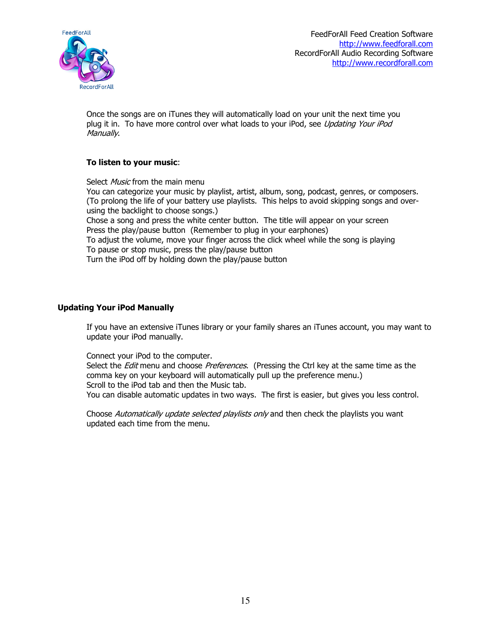

Once the songs are on iTunes they will automatically load on your unit the next time you plug it in. To have more control over what loads to your iPod, see Updating Your iPod Manually.

### To listen to your music:

Select Music from the main menu You can categorize your music by playlist, artist, album, song, podcast, genres, or composers. (To prolong the life of your battery use playlists. This helps to avoid skipping songs and overusing the backlight to choose songs.) Chose a song and press the white center button. The title will appear on your screen Press the play/pause button (Remember to plug in your earphones) To adjust the volume, move your finger across the click wheel while the song is playing To pause or stop music, press the play/pause button Turn the iPod off by holding down the play/pause button

### Updating Your iPod Manually

If you have an extensive iTunes library or your family shares an iTunes account, you may want to update your iPod manually.

### Connect your iPod to the computer.

Select the *Edit* menu and choose Preferences. (Pressing the Ctrl key at the same time as the comma key on your keyboard will automatically pull up the preference menu.) Scroll to the iPod tab and then the Music tab. You can disable automatic updates in two ways. The first is easier, but gives you less control.

Choose Automatically update selected playlists only and then check the playlists you want updated each time from the menu.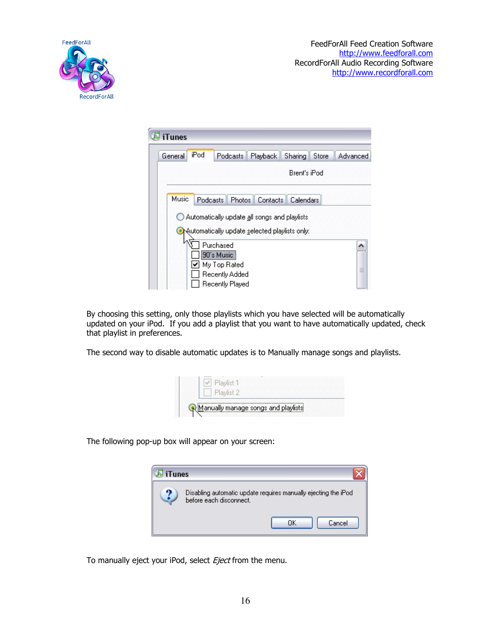

| <b>iTunes</b> |          |                            |                                |                                               |              |       |          |
|---------------|----------|----------------------------|--------------------------------|-----------------------------------------------|--------------|-------|----------|
| General       | iPod     |                            | Podcasts                       | Playback                                      | Sharing      | Store | Advanced |
|               |          |                            |                                |                                               | Brent's iPod |       |          |
| Music         | Podcasts |                            | <b>Photos</b>                  | <b>Contacts</b>                               | Calendars    |       |          |
|               |          |                            |                                | Automatically update all songs and playlists  |              |       |          |
|               |          |                            |                                | Automatically update selected playlists only: |              |       |          |
|               |          | Purchased<br>[90´s Music ] |                                |                                               |              |       |          |
|               |          |                            | My Top Rated<br>Recently Added |                                               |              |       | $\equiv$ |
|               |          |                            | Recently Played                |                                               |              |       |          |

By choosing this setting, only those playlists which you have selected will be automatically updated on your iPod. If you add a playlist that you want to have automatically updated, check that playlist in preferences.

The second way to disable automatic updates is to Manually manage songs and playlists.



The following pop-up box will appear on your screen:



To manually eject your iPod, select Eject from the menu.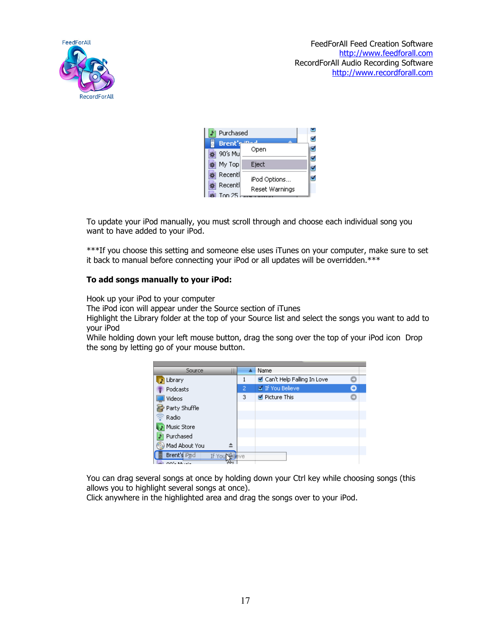

| Purchased           |                |  |
|---------------------|----------------|--|
| <b>Brent's</b>      | Open           |  |
| 90's Mu<br>My Top   | Eject          |  |
| Recentl             | iPod Options   |  |
| Recentl<br>Ton $25$ | Reset Warnings |  |

To update your iPod manually, you must scroll through and choose each individual song you want to have added to your iPod.

\*\*\*If you choose this setting and someone else uses iTunes on your computer, make sure to set it back to manual before connecting your iPod or all updates will be overridden.\*\*\*

### To add songs manually to your iPod:

Hook up your iPod to your computer

The iPod icon will appear under the Source section of iTunes

Highlight the Library folder at the top of your Source list and select the songs you want to add to your iPod

While holding down your left mouse button, drag the song over the top of your iPod icon Drop the song by letting go of your mouse button.



You can drag several songs at once by holding down your Ctrl key while choosing songs (this allows you to highlight several songs at once).

Click anywhere in the highlighted area and drag the songs over to your iPod.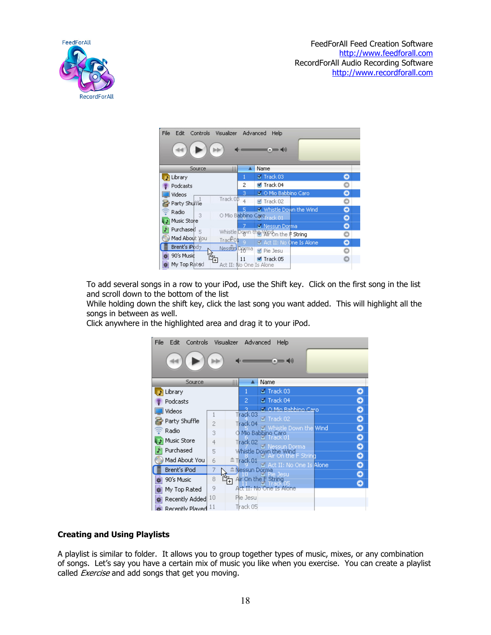

| Controls<br>File<br>Edit                                            | Visualizer Advanced               | <b>Help</b><br>$= 40$               |   |
|---------------------------------------------------------------------|-----------------------------------|-------------------------------------|---|
| Source                                                              | Δ<br>Ш                            | Name                                |   |
| Library                                                             | 1                                 | $\blacksquare$ Track 03             | O |
| Podcasts                                                            | 2                                 | ■ Track 04                          | Ō |
| Videos                                                              | 3                                 | Z O Mio Babbino Caro                | ٥ |
| Party Shuffle                                                       | Track 08<br>4                     | Track 02                            | O |
| Radio                                                               | 5                                 | Mistle Down the Wind                | ٥ |
| З<br>Music Store                                                    | O Mio Babbino Caro rack 01        |                                     | 0 |
| Purchase $\sharp_{\infty}$                                          |                                   | Messun Dorma                        | ٥ |
| Mad About You                                                       |                                   | Whistle Down the WiPOn the F String | O |
| Brent's iPod <sub>7</sub>                                           | Track <sup>o</sup> 1<br>$\bullet$ | Z Act II: No One Is Alone           | ٥ |
|                                                                     | Nessun Doxma                      | Pie Jesu                            | O |
| 90's Music<br>$\frac{d^2\mathbf{r}}{d^2\mathbf{r}}$<br>My Top Rated | 11<br>Act II: No One Is Alone     | ■ Track 05                          | o |

To add several songs in a row to your iPod, use the Shift key. Click on the first song in the list and scroll down to the bottom of the list

While holding down the shift key, click the last song you want added. This will highlight all the songs in between as well.

Click anywhere in the highlighted area and drag it to your iPod.

| Controls<br>File<br>Edit | Visualizer Advanced |              | Help                                        |        |
|--------------------------|---------------------|--------------|---------------------------------------------|--------|
|                          |                     |              | 10                                          |        |
| Source                   | Ш                   |              | Name                                        |        |
| Library                  |                     |              | Track 03                                    | ₩      |
| Podcasts                 |                     | 2            | Track 04                                    |        |
| Videos                   |                     | Track 03     | M. O Mio Babbino Caro                       | Θ      |
| Party Shuffle            | $\overline{2}$      | Track 04     | <b>Ø</b> Track 02                           | ο      |
| Radio                    | 3                   |              | Whistle Down the Wind<br>O Mio Babbino Caro | Θ      |
| Music Store              | 4                   | Track 02     |                                             | ο      |
| Purchased                | 5                   |              | Dorma<br>Whistle Down the Wind              | ٥      |
| Mad About You            | 6                   | $r$ Track 01 | e F String                                  | Θ      |
| Brent's iPod             | 7                   |              | Z Act II: No One Is Alone<br>Alessun Dorma  | Ο      |
| 90's Music               | 8                   |              | Air On the F String                         | Ο<br>Ο |
| My Top Rated<br>葫        | 9                   |              | Act II: No One Is Alone                     |        |
| Recently Added<br>奖      | 10                  | Pie Jesu     |                                             |        |
| Recently Played.         |                     | Thack 05     |                                             |        |

### Creating and Using Playlists

A playlist is similar to folder. It allows you to group together types of music, mixes, or any combination of songs. Let's say you have a certain mix of music you like when you exercise. You can create a playlist called *Exercise* and add songs that get you moving.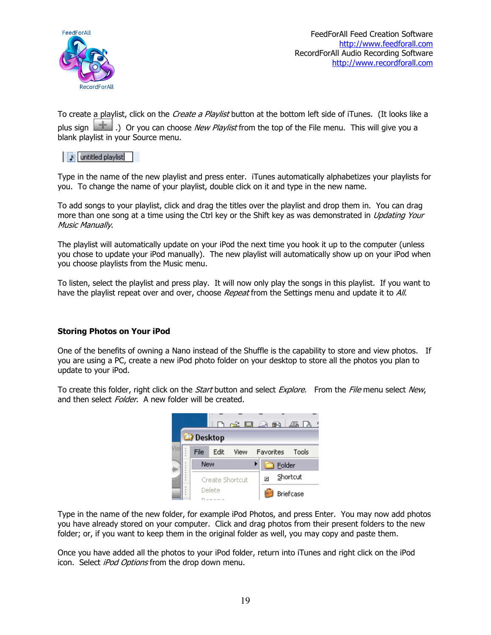

To create a playlist, click on the *Create a Playlist* button at the bottom left side of iTunes. (It looks like a plus sign  $\Box$ .) Or you can choose *New Playlist* from the top of the File menu. This will give you a blank playlist in your Source menu.

# untitled playlist

Type in the name of the new playlist and press enter. iTunes automatically alphabetizes your playlists for you. To change the name of your playlist, double click on it and type in the new name.

To add songs to your playlist, click and drag the titles over the playlist and drop them in. You can drag more than one song at a time using the Ctrl key or the Shift key as was demonstrated in *Updating Your* Music Manually.

The playlist will automatically update on your iPod the next time you hook it up to the computer (unless you chose to update your iPod manually). The new playlist will automatically show up on your iPod when you choose playlists from the Music menu.

To listen, select the playlist and press play. It will now only play the songs in this playlist. If you want to have the playlist repeat over and over, choose Repeat from the Settings menu and update it to All.

# Storing Photos on Your iPod

One of the benefits of owning a Nano instead of the Shuffle is the capability to store and view photos. If you are using a PC, create a new iPod photo folder on your desktop to store all the photos you plan to update to your iPod.

To create this folder, right click on the *Start* button and select *Explore*. From the File menu select New, and then select *Folder*. A new folder will be created.



Type in the name of the new folder, for example iPod Photos, and press Enter. You may now add photos you have already stored on your computer. Click and drag photos from their present folders to the new folder; or, if you want to keep them in the original folder as well, you may copy and paste them.

Once you have added all the photos to your iPod folder, return into iTunes and right click on the iPod icon. Select *iPod Options* from the drop down menu.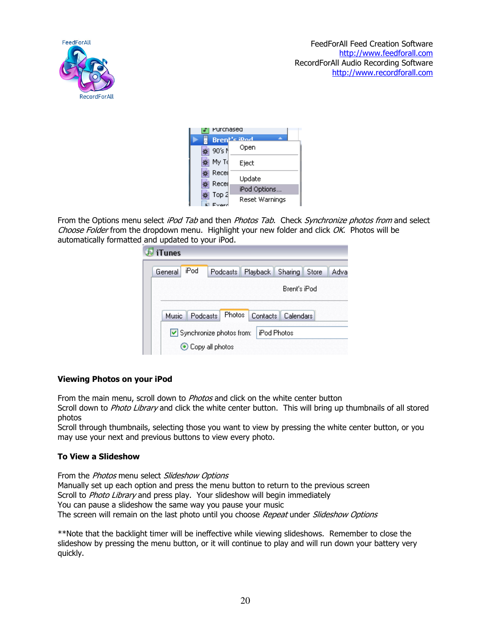

| Purcnased      |                |
|----------------|----------------|
|                | Brent's iDod   |
| 90's N         | Open           |
| My Td          | Eiect          |
| Recei<br>Recei | Update         |
|                | iPod Options   |
| Top 2<br>Everd | Reset Warnings |

From the Options menu select iPod Tab and then Photos Tab. Check Synchronize photos from and select Choose Folder from the dropdown menu. Highlight your new folder and click OK. Photos will be automatically formatted and updated to your iPod.

| <b>J</b> iTunes |      |                                    |                      |              |      |
|-----------------|------|------------------------------------|----------------------|--------------|------|
| General         | iPod | Podcasts Playback Sharing Store    |                      |              | Adva |
|                 |      |                                    |                      | Brent's iPod |      |
| <b>Music</b>    |      | Podcasts Photos Contacts Calendars |                      |              |      |
|                 |      | Synchronize photos from:           | <b>I</b> iPod Photos |              |      |
|                 |      | Copy all photos                    |                      |              |      |

# Viewing Photos on your iPod

From the main menu, scroll down to *Photos* and click on the white center button

Scroll down to Photo Library and click the white center button. This will bring up thumbnails of all stored photos

Scroll through thumbnails, selecting those you want to view by pressing the white center button, or you may use your next and previous buttons to view every photo.

### To View a Slideshow

From the *Photos* menu select Slideshow Options Manually set up each option and press the menu button to return to the previous screen Scroll to Photo Library and press play. Your slideshow will begin immediately You can pause a slideshow the same way you pause your music The screen will remain on the last photo until you choose Repeat under Slideshow Options

\*\*Note that the backlight timer will be ineffective while viewing slideshows. Remember to close the slideshow by pressing the menu button, or it will continue to play and will run down your battery very quickly.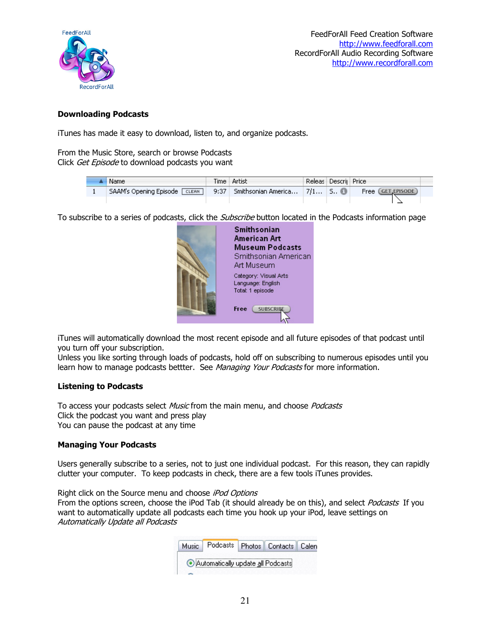

### Downloading Podcasts

iTunes has made it easy to download, listen to, and organize podcasts.

From the Music Store, search or browse Podcasts Click Get Episode to download podcasts you want

| :Name                          | Time   Artist                          | Releas Descri Price |                    |  |
|--------------------------------|----------------------------------------|---------------------|--------------------|--|
| SAAM's Opening Episode [CLEAN] | 9:37   Smithsonian America   7/1   S 8 |                     | Free (GET EPISODE) |  |
|                                |                                        |                     |                    |  |

To subscribe to a series of podcasts, click the *Subscribe* button located in the Podcasts information page



iTunes will automatically download the most recent episode and all future episodes of that podcast until you turn off your subscription.

Unless you like sorting through loads of podcasts, hold off on subscribing to numerous episodes until you learn how to manage podcasts bettter. See Managing Your Podcasts for more information.

### Listening to Podcasts

To access your podcasts select Music from the main menu, and choose Podcasts Click the podcast you want and press play You can pause the podcast at any time

### Managing Your Podcasts

Users generally subscribe to a series, not to just one individual podcast. For this reason, they can rapidly clutter your computer. To keep podcasts in check, there are a few tools iTunes provides.

Right click on the Source menu and choose iPod Options From the options screen, choose the iPod Tab (it should already be on this), and select Podcasts If you want to automatically update all podcasts each time you hook up your iPod, leave settings on Automatically Update all Podcasts

| Music   Podcasts   Photos   Contacts   Calen |  |  |
|----------------------------------------------|--|--|
| Automatically update all Podcasts            |  |  |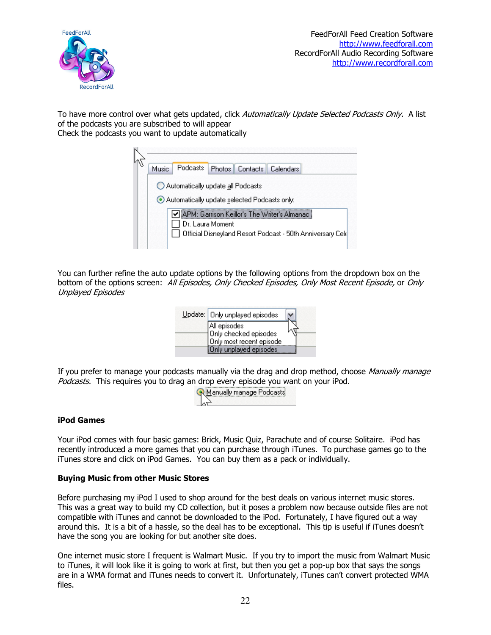

To have more control over what gets updated, click Automatically Update Selected Podcasts Only. A list of the podcasts you are subscribed to will appear

Check the podcasts you want to update automatically



You can further refine the auto update options by the following options from the dropdown box on the bottom of the options screen: All Episodes, Only Checked Episodes, Only Most Recent Episode, or Only Unplayed Episodes



If you prefer to manage your podcasts manually via the drag and drop method, choose Manually manage Podcasts. This requires you to drag an drop every episode you want on your iPod.

| Aanually manage Podcastsi |
|---------------------------|
|                           |
|                           |

### iPod Games

Your iPod comes with four basic games: Brick, Music Quiz, Parachute and of course Solitaire. iPod has recently introduced a more games that you can purchase through iTunes. To purchase games go to the iTunes store and click on iPod Games. You can buy them as a pack or individually.

### Buying Music from other Music Stores

Before purchasing my iPod I used to shop around for the best deals on various internet music stores. This was a great way to build my CD collection, but it poses a problem now because outside files are not compatible with iTunes and cannot be downloaded to the iPod. Fortunately, I have figured out a way around this. It is a bit of a hassle, so the deal has to be exceptional. This tip is useful if iTunes doesn't have the song you are looking for but another site does.

One internet music store I frequent is Walmart Music. If you try to import the music from Walmart Music to iTunes, it will look like it is going to work at first, but then you get a pop-up box that says the songs are in a WMA format and iTunes needs to convert it. Unfortunately, iTunes can't convert protected WMA files.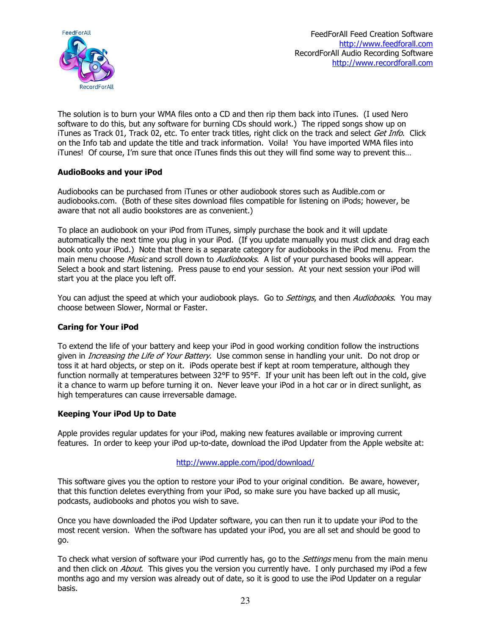

The solution is to burn your WMA files onto a CD and then rip them back into iTunes. (I used Nero software to do this, but any software for burning CDs should work.) The ripped songs show up on iTunes as Track 01, Track 02, etc. To enter track titles, right click on the track and select Get Info. Click on the Info tab and update the title and track information. Voila! You have imported WMA files into iTunes! Of course, I'm sure that once iTunes finds this out they will find some way to prevent this…

### AudioBooks and your iPod

Audiobooks can be purchased from iTunes or other audiobook stores such as Audible.com or audiobooks.com. (Both of these sites download files compatible for listening on iPods; however, be aware that not all audio bookstores are as convenient.)

To place an audiobook on your iPod from iTunes, simply purchase the book and it will update automatically the next time you plug in your iPod. (If you update manually you must click and drag each book onto your iPod.) Note that there is a separate category for audiobooks in the iPod menu. From the main menu choose Music and scroll down to Audiobooks. A list of your purchased books will appear. Select a book and start listening. Press pause to end your session. At your next session your iPod will start you at the place you left off.

You can adjust the speed at which your audiobook plays. Go to *Settings*, and then *Audiobooks*. You may choose between Slower, Normal or Faster.

### Caring for Your iPod

To extend the life of your battery and keep your iPod in good working condition follow the instructions given in *Increasing the Life of Your Battery*. Use common sense in handling your unit. Do not drop or toss it at hard objects, or step on it. iPods operate best if kept at room temperature, although they function normally at temperatures between 32°F to 95°F. If your unit has been left out in the cold, give it a chance to warm up before turning it on. Never leave your iPod in a hot car or in direct sunlight, as high temperatures can cause irreversable damage.

### Keeping Your iPod Up to Date

Apple provides regular updates for your iPod, making new features available or improving current features. In order to keep your iPod up-to-date, download the iPod Updater from the Apple website at:

### http://www.apple.com/ipod/download/

This software gives you the option to restore your iPod to your original condition. Be aware, however, that this function deletes everything from your iPod, so make sure you have backed up all music, podcasts, audiobooks and photos you wish to save.

Once you have downloaded the iPod Updater software, you can then run it to update your iPod to the most recent version. When the software has updated your iPod, you are all set and should be good to go.

To check what version of software your iPod currently has, go to the Settings menu from the main menu and then click on *About*. This gives you the version you currently have. I only purchased my iPod a few months ago and my version was already out of date, so it is good to use the iPod Updater on a regular basis.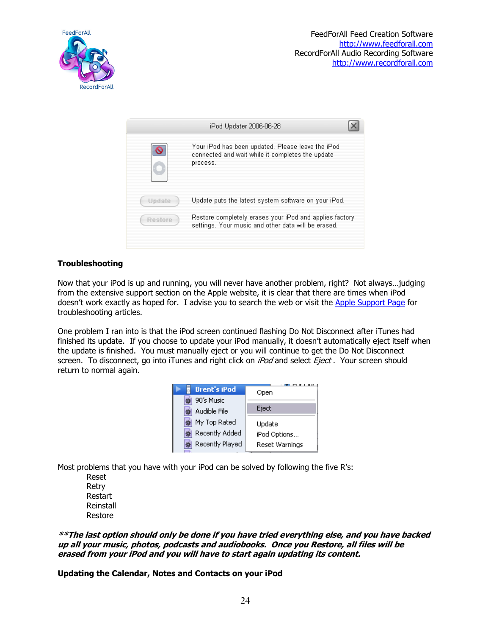



# **Troubleshooting**

Now that your iPod is up and running, you will never have another problem, right? Not always…judging from the extensive support section on the Apple website, it is clear that there are times when iPod doesn't work exactly as hoped for. I advise you to search the web or visit the Apple Support Page for troubleshooting articles.

One problem I ran into is that the iPod screen continued flashing Do Not Disconnect after iTunes had finished its update. If you choose to update your iPod manually, it doesn't automatically eject itself when the update is finished. You must manually eject or you will continue to get the Do Not Disconnect screen. To disconnect, go into iTunes and right click on iPod and select Eject. Your screen should return to normal again.

| Open           |  |  |  |
|----------------|--|--|--|
|                |  |  |  |
| Eject          |  |  |  |
| Update         |  |  |  |
| iPod Options   |  |  |  |
| Reset Warnings |  |  |  |
|                |  |  |  |

Most problems that you have with your iPod can be solved by following the five R's:

 Reset Retry Restart Reinstall Restore

\*\*The last option should only be done if you have tried everything else, and you have backed up all your music, photos, podcasts and audiobooks. Once you Restore, all files will be erased from your iPod and you will have to start again updating its content.

Updating the Calendar, Notes and Contacts on your iPod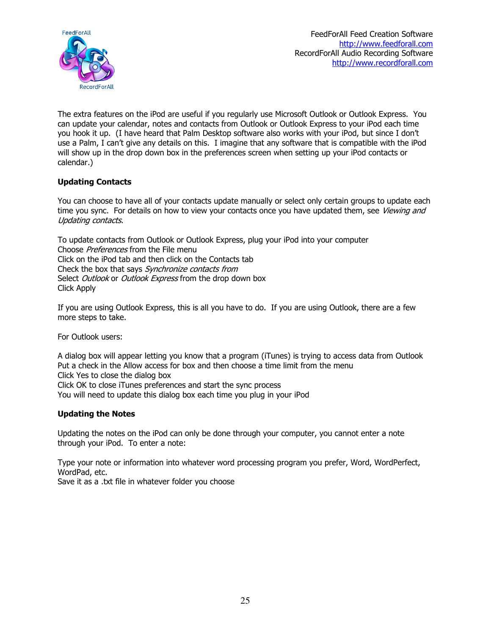

The extra features on the iPod are useful if you regularly use Microsoft Outlook or Outlook Express. You can update your calendar, notes and contacts from Outlook or Outlook Express to your iPod each time you hook it up. (I have heard that Palm Desktop software also works with your iPod, but since I don't use a Palm, I can't give any details on this. I imagine that any software that is compatible with the iPod will show up in the drop down box in the preferences screen when setting up your iPod contacts or calendar.)

# Updating Contacts

You can choose to have all of your contacts update manually or select only certain groups to update each time you sync. For details on how to view your contacts once you have updated them, see Viewing and Updating contacts.

To update contacts from Outlook or Outlook Express, plug your iPod into your computer Choose *Preferences* from the File menu Click on the iPod tab and then click on the Contacts tab Check the box that says Synchronize contacts from Select Outlook or Outlook Express from the drop down box Click Apply

If you are using Outlook Express, this is all you have to do. If you are using Outlook, there are a few more steps to take.

For Outlook users:

A dialog box will appear letting you know that a program (iTunes) is trying to access data from Outlook Put a check in the Allow access for box and then choose a time limit from the menu Click Yes to close the dialog box Click OK to close iTunes preferences and start the sync process You will need to update this dialog box each time you plug in your iPod

# Updating the Notes

Updating the notes on the iPod can only be done through your computer, you cannot enter a note through your iPod. To enter a note:

Type your note or information into whatever word processing program you prefer, Word, WordPerfect, WordPad, etc.

Save it as a .txt file in whatever folder you choose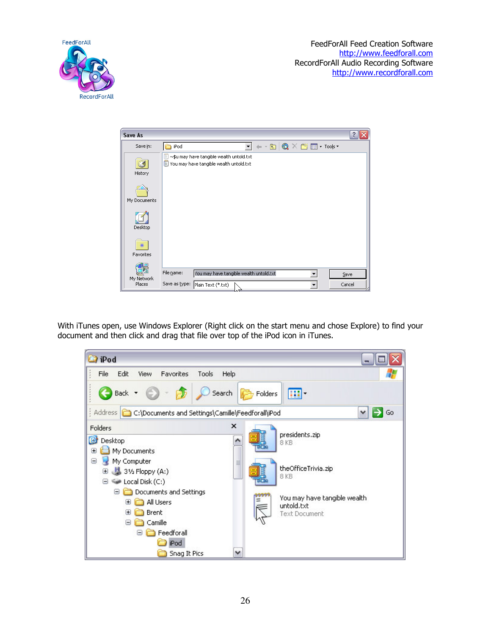FeedForAll Feed Creation Software http://www.feedforall.com RecordForAll Audio Recording Software http://www.recordforall.com





With iTunes open, use Windows Explorer (Right click on the start menu and chose Explore) to find your document and then click and drag that file over top of the iPod icon in iTunes.